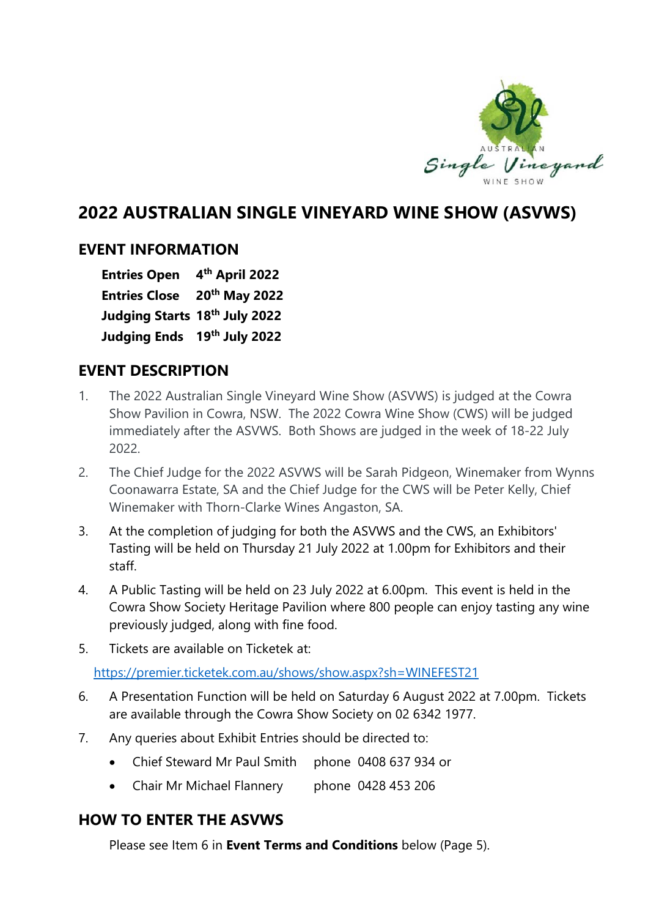

# **2022 AUSTRALIAN SINGLE VINEYARD WINE SHOW (ASVWS)**

### **EVENT INFORMATION**

**Entries Open 4th April 2022 Entries Close 20th May 2022 Judging Starts 18th July 2022 Judging Ends 19th July 2022**

## **EVENT DESCRIPTION**

- 1. The 2022 Australian Single Vineyard Wine Show (ASVWS) is judged at the Cowra Show Pavilion in Cowra, NSW. The 2022 Cowra Wine Show (CWS) will be judged immediately after the ASVWS. Both Shows are judged in the week of 18-22 July 2022.
- 2. The Chief Judge for the 2022 ASVWS will be Sarah Pidgeon, Winemaker from Wynns Coonawarra Estate, SA and the Chief Judge for the CWS will be Peter Kelly, Chief Winemaker with Thorn-Clarke Wines Angaston, SA.
- 3. At the completion of judging for both the ASVWS and the CWS, an Exhibitors' Tasting will be held on Thursday 21 July 2022 at 1.00pm for Exhibitors and their staff.
- 4. A Public Tasting will be held on 23 July 2022 at 6.00pm. This event is held in the Cowra Show Society Heritage Pavilion where 800 people can enjoy tasting any wine previously judged, along with fine food.
- 5. Tickets are available on Ticketek at:

<https://premier.ticketek.com.au/shows/show.aspx?sh=WINEFEST21>

- 6. A Presentation Function will be held on Saturday 6 August 2022 at 7.00pm. Tickets are available through the Cowra Show Society on 02 6342 1977.
- 7. Any queries about Exhibit Entries should be directed to:
	- Chief Steward Mr Paul Smith phone 0408 637 934 or
	- Chair Mr Michael Flannery phone 0428 453 206

# **HOW TO ENTER THE ASVWS**

Please see Item 6 in **Event Terms and Conditions** below (Page 5).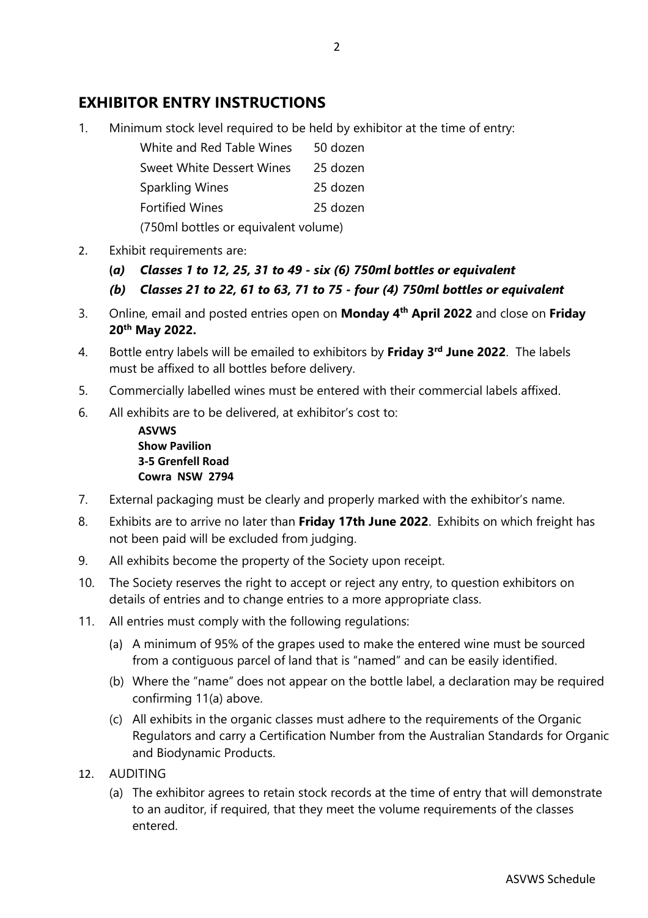## **EXHIBITOR ENTRY INSTRUCTIONS**

1. Minimum stock level required to be held by exhibitor at the time of entry:

| White and Red Table Wines | 50 dozen |
|---------------------------|----------|
|                           |          |

| Sweet White Dessert Wines | 25 dozen |
|---------------------------|----------|
| Sparkling Wines           | 25 dozen |
| <b>Fortified Wines</b>    | 25 dozen |

(750ml bottles or equivalent volume)

- 2. Exhibit requirements are:
	- **(***a) Classes 1 to 12, 25, 31 to 49 - six (6) 750ml bottles or equivalent*
	- *(b) Classes 21 to 22, 61 to 63, 71 to 75 - four (4) 750ml bottles or equivalent*
- 3. Online, email and posted entries open on **Monday 4th April 2022** and close on **Friday 20th May 2022.**
- 4. Bottle entry labels will be emailed to exhibitors by **Friday 3rd June 2022**. The labels must be affixed to all bottles before delivery.
- 5. Commercially labelled wines must be entered with their commercial labels affixed.
- 6. All exhibits are to be delivered, at exhibitor's cost to:
	- **ASVWS Show Pavilion 3-5 Grenfell Road Cowra NSW 2794**
- 7. External packaging must be clearly and properly marked with the exhibitor's name.
- 8. Exhibits are to arrive no later than **Friday 17th June 2022**. Exhibits on which freight has not been paid will be excluded from judging.
- 9. All exhibits become the property of the Society upon receipt.
- 10. The Society reserves the right to accept or reject any entry, to question exhibitors on details of entries and to change entries to a more appropriate class.
- 11. All entries must comply with the following regulations:
	- (a) A minimum of 95% of the grapes used to make the entered wine must be sourced from a contiguous parcel of land that is "named" and can be easily identified.
	- (b) Where the "name" does not appear on the bottle label, a declaration may be required confirming 11(a) above.
	- (c) All exhibits in the organic classes must adhere to the requirements of the Organic Regulators and carry a Certification Number from the Australian Standards for Organic and Biodynamic Products.
- 12. AUDITING
	- (a) The exhibitor agrees to retain stock records at the time of entry that will demonstrate to an auditor, if required, that they meet the volume requirements of the classes entered.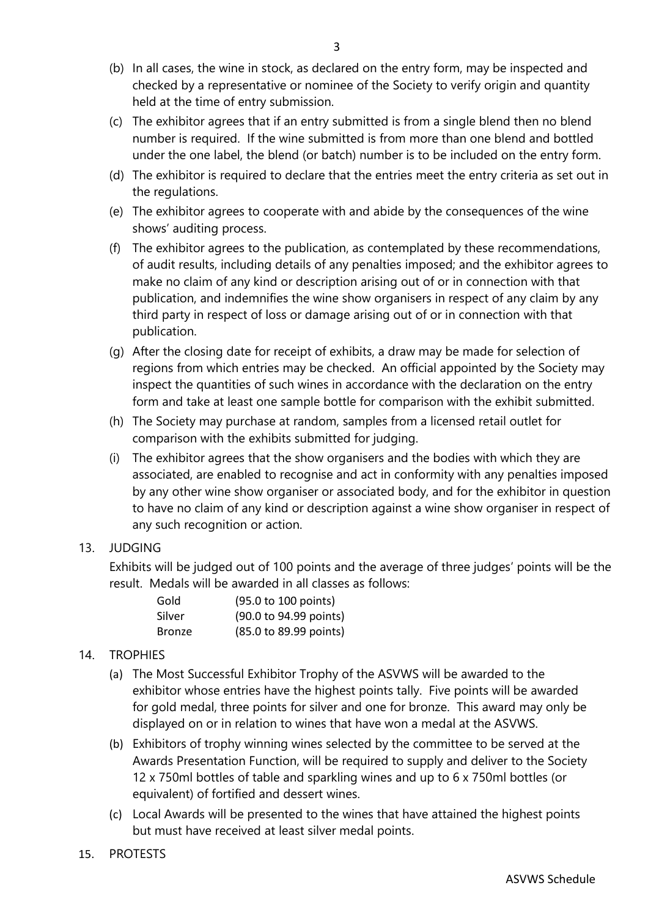- (b) In all cases, the wine in stock, as declared on the entry form, may be inspected and checked by a representative or nominee of the Society to verify origin and quantity held at the time of entry submission.
- (c) The exhibitor agrees that if an entry submitted is from a single blend then no blend number is required. If the wine submitted is from more than one blend and bottled under the one label, the blend (or batch) number is to be included on the entry form.
- (d) The exhibitor is required to declare that the entries meet the entry criteria as set out in the regulations.
- (e) The exhibitor agrees to cooperate with and abide by the consequences of the wine shows' auditing process.
- (f) The exhibitor agrees to the publication, as contemplated by these recommendations, of audit results, including details of any penalties imposed; and the exhibitor agrees to make no claim of any kind or description arising out of or in connection with that publication, and indemnifies the wine show organisers in respect of any claim by any third party in respect of loss or damage arising out of or in connection with that publication.
- (g) After the closing date for receipt of exhibits, a draw may be made for selection of regions from which entries may be checked. An official appointed by the Society may inspect the quantities of such wines in accordance with the declaration on the entry form and take at least one sample bottle for comparison with the exhibit submitted.
- (h) The Society may purchase at random, samples from a licensed retail outlet for comparison with the exhibits submitted for judging.
- (i) The exhibitor agrees that the show organisers and the bodies with which they are associated, are enabled to recognise and act in conformity with any penalties imposed by any other wine show organiser or associated body, and for the exhibitor in question to have no claim of any kind or description against a wine show organiser in respect of any such recognition or action.

#### 13. JUDGING

Exhibits will be judged out of 100 points and the average of three judges' points will be the result. Medals will be awarded in all classes as follows:

| Gold          | (95.0 to 100 points)   |
|---------------|------------------------|
| Silver        | (90.0 to 94.99 points) |
| <b>Bronze</b> | (85.0 to 89.99 points) |

#### 14. TROPHIES

- (a) The Most Successful Exhibitor Trophy of the ASVWS will be awarded to the exhibitor whose entries have the highest points tally. Five points will be awarded for gold medal, three points for silver and one for bronze. This award may only be displayed on or in relation to wines that have won a medal at the ASVWS.
- (b) Exhibitors of trophy winning wines selected by the committee to be served at the Awards Presentation Function, will be required to supply and deliver to the Society 12 x 750ml bottles of table and sparkling wines and up to 6 x 750ml bottles (or equivalent) of fortified and dessert wines.
- (c) Local Awards will be presented to the wines that have attained the highest points but must have received at least silver medal points.
- 15. PROTESTS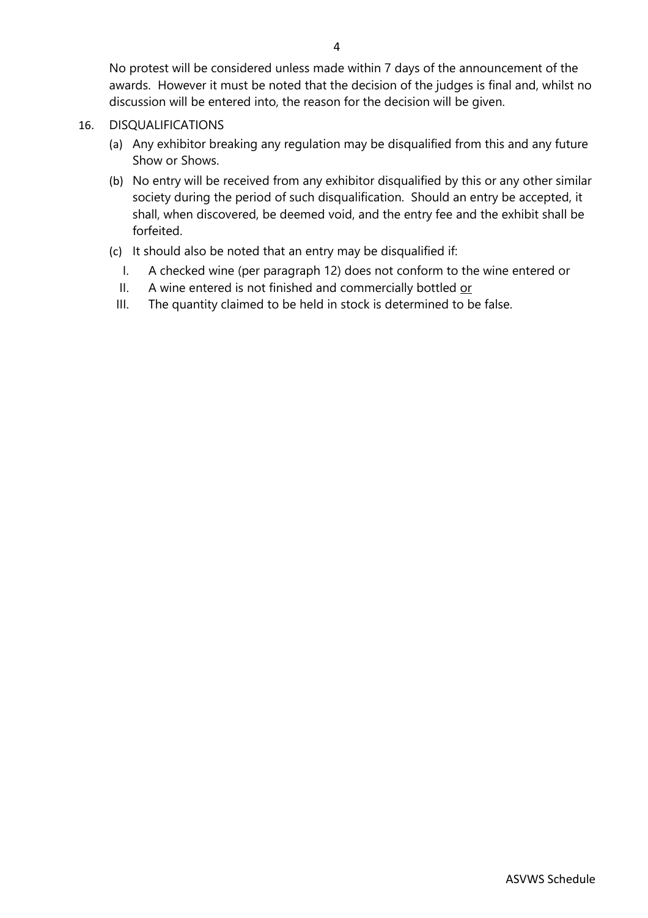No protest will be considered unless made within 7 days of the announcement of the awards. However it must be noted that the decision of the judges is final and, whilst no discussion will be entered into, the reason for the decision will be given.

- 16. DISQUALIFICATIONS
	- (a) Any exhibitor breaking any regulation may be disqualified from this and any future Show or Shows.
	- (b) No entry will be received from any exhibitor disqualified by this or any other similar society during the period of such disqualification. Should an entry be accepted, it shall, when discovered, be deemed void, and the entry fee and the exhibit shall be forfeited.
	- (c) It should also be noted that an entry may be disqualified if:
		- I. A checked wine (per paragraph 12) does not conform to the wine entered or
		- II. A wine entered is not finished and commercially bottled or
		- III. The quantity claimed to be held in stock is determined to be false.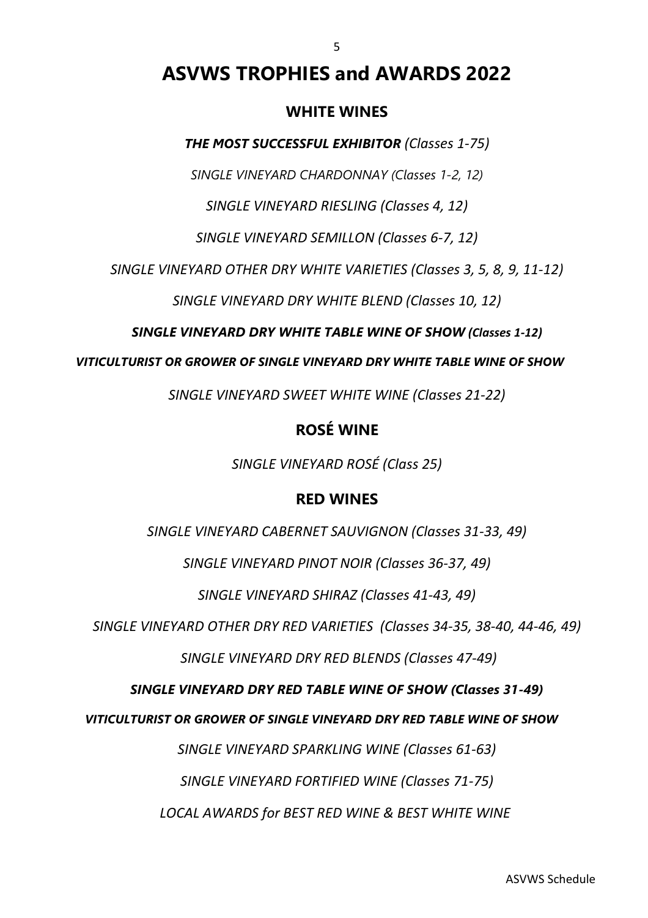# **ASVWS TROPHIES and AWARDS 2022**

5

#### **WHITE WINES**

*THE MOST SUCCESSFUL EXHIBITOR (Classes 1-75)*

*SINGLE VINEYARD CHARDONNAY (Classes 1-2, 12)*

*SINGLE VINEYARD RIESLING (Classes 4, 12)*

*SINGLE VINEYARD SEMILLON (Classes 6-7, 12)*

*SINGLE VINEYARD OTHER DRY WHITE VARIETIES (Classes 3, 5, 8, 9, 11-12)*

*SINGLE VINEYARD DRY WHITE BLEND (Classes 10, 12)*

*SINGLE VINEYARD DRY WHITE TABLE WINE OF SHOW (Classes 1-12)*

*VITICULTURIST OR GROWER OF SINGLE VINEYARD DRY WHITE TABLE WINE OF SHOW*

*SINGLE VINEYARD SWEET WHITE WINE (Classes 21-22)*

## **ROSÉ WINE**

*SINGLE VINEYARD ROSÉ (Class 25)*

## **RED WINES**

*SINGLE VINEYARD CABERNET SAUVIGNON (Classes 31-33, 49)*

*SINGLE VINEYARD PINOT NOIR (Classes 36-37, 49)*

*SINGLE VINEYARD SHIRAZ (Classes 41-43, 49)*

*SINGLE VINEYARD OTHER DRY RED VARIETIES (Classes 34-35, 38-40, 44-46, 49)*

*SINGLE VINEYARD DRY RED BLENDS (Classes 47-49)*

#### *SINGLE VINEYARD DRY RED TABLE WINE OF SHOW (Classes 31-49)*

*VITICULTURIST OR GROWER OF SINGLE VINEYARD DRY RED TABLE WINE OF SHOW*

*SINGLE VINEYARD SPARKLING WINE (Classes 61-63)*

*SINGLE VINEYARD FORTIFIED WINE (Classes 71-75)*

*LOCAL AWARDS for BEST RED WINE & BEST WHITE WINE*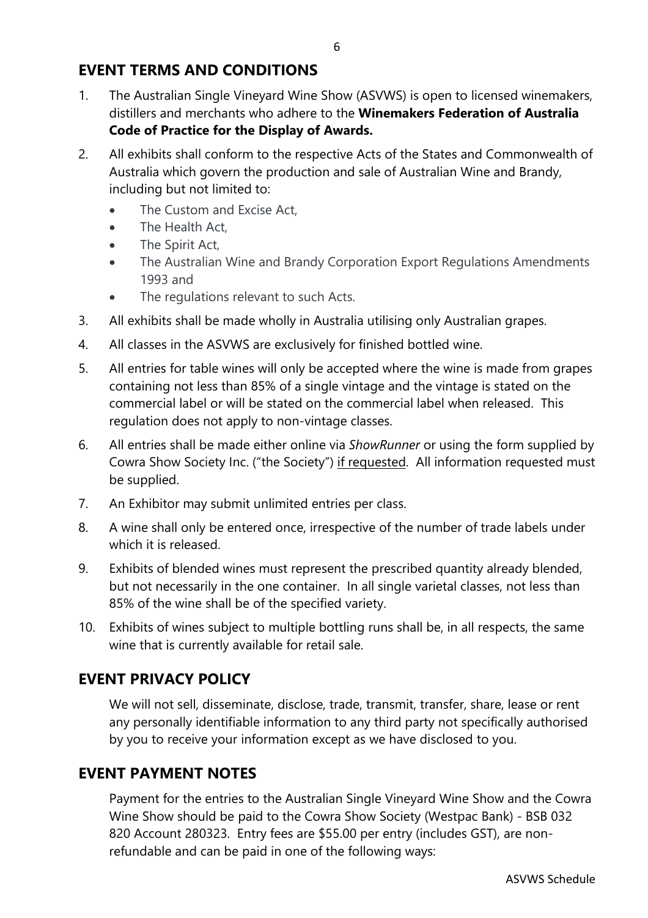## **EVENT TERMS AND CONDITIONS**

- 1. The Australian Single Vineyard Wine Show (ASVWS) is open to licensed winemakers, distillers and merchants who adhere to the **Winemakers Federation of Australia Code of Practice for the Display of Awards.**
- 2. All exhibits shall conform to the respective Acts of the States and Commonwealth of Australia which govern the production and sale of Australian Wine and Brandy, including but not limited to:
	- The Custom and Excise Act.
	- The Health Act,
	- The Spirit Act,
	- The Australian Wine and Brandy Corporation Export Regulations Amendments 1993 and
	- The regulations relevant to such Acts.
- 3. All exhibits shall be made wholly in Australia utilising only Australian grapes.
- 4. All classes in the ASVWS are exclusively for finished bottled wine.
- 5. All entries for table wines will only be accepted where the wine is made from grapes containing not less than 85% of a single vintage and the vintage is stated on the commercial label or will be stated on the commercial label when released. This regulation does not apply to non-vintage classes.
- 6. All entries shall be made either online via *ShowRunner* or using the form supplied by Cowra Show Society Inc. ("the Society") if requested. All information requested must be supplied.
- 7. An Exhibitor may submit unlimited entries per class.
- 8. A wine shall only be entered once, irrespective of the number of trade labels under which it is released.
- 9. Exhibits of blended wines must represent the prescribed quantity already blended, but not necessarily in the one container. In all single varietal classes, not less than 85% of the wine shall be of the specified variety.
- 10. Exhibits of wines subject to multiple bottling runs shall be, in all respects, the same wine that is currently available for retail sale.

# **EVENT PRIVACY POLICY**

We will not sell, disseminate, disclose, trade, transmit, transfer, share, lease or rent any personally identifiable information to any third party not specifically authorised by you to receive your information except as we have disclosed to you.

## **EVENT PAYMENT NOTES**

Payment for the entries to the Australian Single Vineyard Wine Show and the Cowra Wine Show should be paid to the Cowra Show Society (Westpac Bank) - BSB 032 820 Account 280323. Entry fees are \$55.00 per entry (includes GST), are nonrefundable and can be paid in one of the following ways: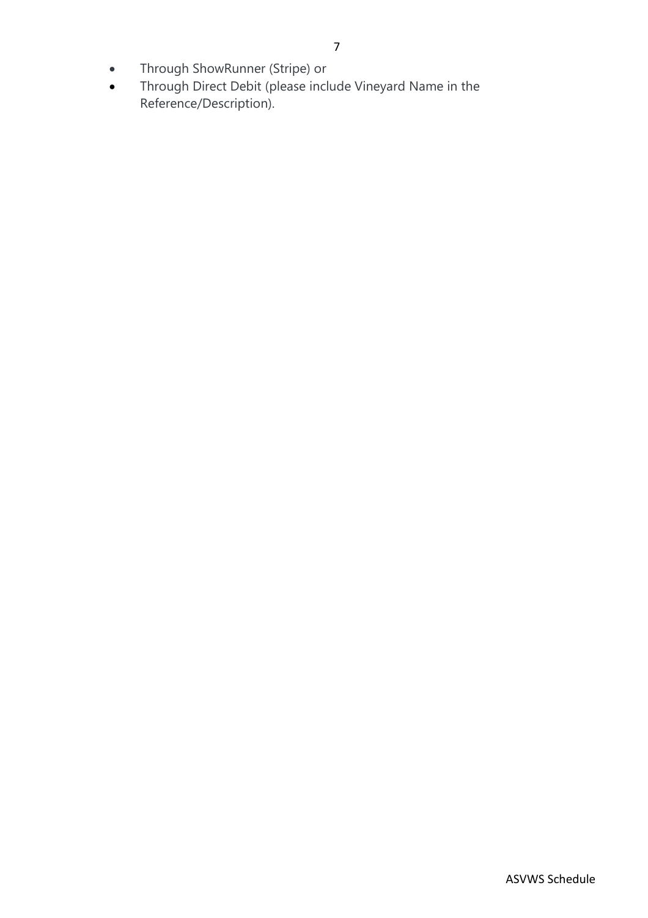- Through ShowRunner (Stripe) or
- Through Direct Debit (please include Vineyard Name in the Reference/Description).